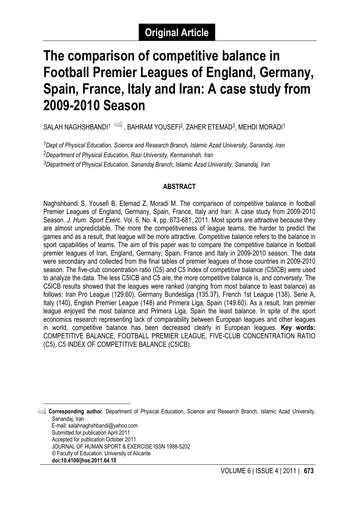# **The comparison of competitive balance in Football Premier Leagues of England, Germany, Spain, France, Italy and Iran: A case study from 2009-2010 Season**

SALAH NAGHSHBANDI<sup>1</sup> , BAHRAM YOUSEFI<sup>2</sup>, ZAHER ETEMAD<sup>3</sup>, MEHDI MORADI<sup>1</sup>

*1Dept of Physical Education, Science and Research Branch, Islamic Azad University, Sanandaj, Iran 2Department of Physical Education, Razi University, Kermanshah, Iran 3Department of Physical Education, Sanandaj Branch, Islamic Azad University, Sanandaj, Iran*

## **ABSTRACT**

Naghshbandi S, Yousefi B, Etemad Z, Moradi M. The comparison of competitive balance in football Premier Leagues of England, Germany, Spain, France, Italy and Iran: A case study from 2009-2010 Season. *J. Hum. Sport Exerc.* Vol. 6, No. 4, pp. 673-681, 2011. Most sports are attractive because they are almost unpredictable. The more the competitiveness of league teams, the harder to predict the games and as a result, that league will be more attractive. Competitive balance refers to the balance in sport capabilities of teams. The aim of this paper was to compare the competitive balance in football premier leagues of Iran, England, Germany, Spain, France and Italy in 2009-2010 season. The data were secondary and collected from the final tables of premier leagues of those countries in 2009-2010 season. The five-club concentration ratio (C5) and C5 index of competitive balance (C5ICB) were used to analyze the data. The less C5ICB and C5 are, the more competitive balance is, and conversely. The C5ICB results showed that the leagues were ranked (ranging from most balance to least balance) as follows: Iran Pro League (129.60), Germany Bundesliga (135.37), French 1st League (138), Serie A, Italy (140), English Premier League (148) and Primera Liga, Spain (149.60). As a result, Iran premier league enjoyed the most balance and Primera Liga, Spain the least balance. In spite of the sport economics research representing lack of comparability between European leagues and other leagues in world, competitive balance has been decreased clearly in European leagues. **Key words:** COMPETITIVE BALANCE, FOOTBALL PREMIER LEAGUE, FIVE-CLUB CONCENTRATION RATIO (C5), C5 INDEX OF COMPETITIVE BALANCE (C5ICB).

<span id="page-0-0"></span>**1 Corresponding author.** Department of Physical Education, Science and Research Branch, Islamic Azad University, Sanandai, Iran E-mail: salahnaghshbandi@yahoo.com Submitted for publication April 2011 Accepted for publication October 2011 JOURNAL OF HUMAN SPORT & EXERCISE ISSN 1988-5202

<sup>©</sup> Faculty of Education. University of Alicante

**doi:10.4100/jhse.2011.64.10**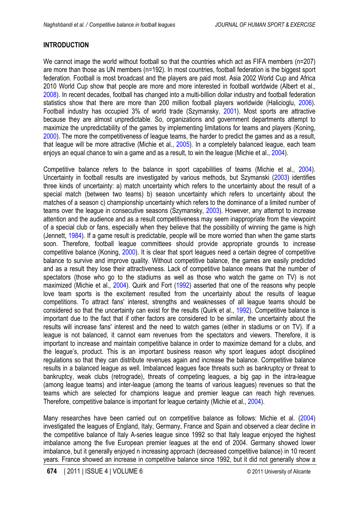## <span id="page-1-0"></span>**INTRODUCTION**

We cannot image the world without football so that the countries which act as FIFA members (n=207) are more than those as UN members (n=192). In most countries, football federation is the biggest sport federation. Football is most broadcast and the players are paid most. Asia 2002 World Cup and Africa 2010 World Cup show that people are more and more interested in football worldwide (Albert et al., [2008\)](#page-7-0). In recent decades, football has changed into a multi-billion dollar industry and football federation statistics show that there are more than 200 million football players worldwide (Halicioglu, [2006](#page-7-0)). Football industry has occupied 3% of world trade (Szymansky, [2001\)](#page-8-0). Most sports are attractive because they are almost unpredictable. So, organizations and government departments attempt to maximize the unpredictability of the games by implementing limitations for teams and players (Koning, [2000\)](#page-8-0). The more the competitiveness of league teams, the harder to predict the games and as a result, that league will be more attractive (Michie et al., [2005](#page-8-0)). In a completely balanced league, each team enjoys an equal chance to win a game and as a result, to win the league (Michie et al., [2004](#page-8-0)).

Competitive balance refers to the balance in sport capabilities of teams (Michie et al., [2004](#page-8-0)). Uncertainty in football results are investigated by various methods, but Szymanski ([2003\)](#page-8-0) identifies three kinds of uncertainty: a) match uncertainty which refers to the uncertainty about the result of a special match (between two teams) b) season uncertainty which refers to uncertainty about the matches of a season c) championship uncertainty which refers to the dominance of a limited number of teams over the league in consecutive seasons (Szymansky, [2003\)](#page-8-0). However, any attempt to increase attention and the audience and as a result competitiveness may seem inappropriate from the viewpoint of a special club or fans, especially when they believe that the possibility of winning the game is high (Jennett, [1984](#page-8-0)). If a game result is predictable, people will be more worried than when the game starts soon. Therefore, football league committees should provide appropriate grounds to increase competitive balance (Koning, [2000\)](#page-7-0). It is clear that sport leagues need a certain degree of competitive balance to survive and improve quality. Without competitive balance, the games are easily predicted and as a result they lose their attractiveness. Lack of competitive balance means that the number of spectators (those who go to the stadiums as well as those who watch the game on TV) is not maximized (Michie et al., [2004\)](#page-8-0). Quirk and Fort [\(1992](#page-8-0)) asserted that one of the reasons why people love team sports is the excitement resulted from the uncertainty about the results of league competitions. To attract fans' interest, strengths and weaknesses of all league teams should be considered so that the uncertainty can exist for the results (Quirk et al., [1992\)](#page-8-0). Competitive balance is important due to the fact that if other factors are considered to be similar, the uncertainty about the results will increase fans' interest and the need to watch games (either in stadiums or on TV). If a league is not balanced, it cannot earn revenues from the spectators and viewers. Therefore, it is important to increase and maintain competitive balance in order to maximize demand for a clubs, and the league's, product. This is an important business reason why sport leagues adopt disciplined regulations so that they can distribute revenues again and increase the balance. Competitive balance results in a balanced league as well. Imbalanced leagues face threats such as bankruptcy or threat to bankruptcy, weak clubs (retrograde), threats of competing leagues, a big gap in the intra-league (among league teams) and inter-league (among the teams of various leagues) revenues so that the teams which are selected for champions league and premier league can reach high revenues. Therefore, competitive balance is important for league certainty (Michie et al., [2004](#page-8-0)).

Many researches have been carried out on competitive balance as follows: Michie et al. [\(2004](#page-8-0)) investigated the leagues of England, Italy, Germany, France and Spain and observed a clear decline in the competitive balance of Italy A-series league since 1992 so that Italy league enjoyed the highest imbalance among the five European premier leagues at the end of 2004. Germany showed lower imbalance, but it generally enjoyed n increasing approach (decreased competitive balance) in 10 recent years. France showed an increase in competitive balance since 1992, but it did not generally show a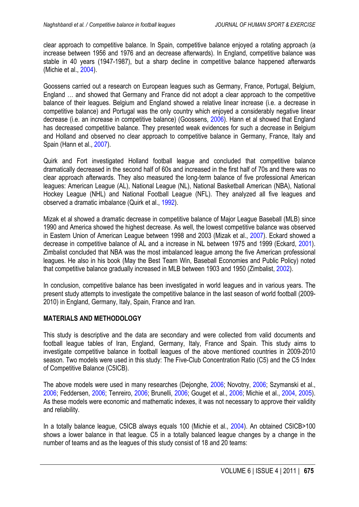<span id="page-2-0"></span>clear approach to competitive balance. In Spain, competitive balance enjoyed a rotating approach (a increase between 1956 and 1976 and an decrease afterwards). In England, competitive balance was stable in 40 years (1947-1987), but a sharp decline in competitive balance happened afterwards (Michie et al., [2004](#page-8-0)).

Goossens carried out a research on European leagues such as Germany, France, Portugal, Belgium, England … and showed that Germany and France did not adopt a clear approach to the competitive balance of their leagues. Belgium and England showed a relative linear increase (i.e. a decrease in competitive balance) and Portugal was the only country which enjoyed a considerably negative linear decrease (i.e. an increase in competitive balance) (Goossens, [2006](#page-7-0)). Hann et al showed that England has decreased competitive balance. They presented weak evidences for such a decrease in Belgium and Holland and observed no clear approach to competitive balance in Germany, France, Italy and Spain (Hann et al., [2007](#page-7-0)).

Quirk and Fort investigated Holland football league and concluded that competitive balance dramatically decreased in the second half of 60s and increased in the first half of 70s and there was no clear approach afterwards. They also measured the long-term balance of five professional American leagues: American League (AL), National League (NL), National Basketball American (NBA), National Hockey League (NHL) and National Football League (NFL). They analyzed all five leagues and observed a dramatic imbalance (Quirk et al., [1992\)](#page-8-0).

Mizak et al showed a dramatic decrease in competitive balance of Major League Baseball (MLB) since 1990 and America showed the highest decrease. As well, the lowest competitive balance was observed in Eastern Union of American League between 1998 and 2003 (Mizak et al., [2007\)](#page-8-0). Eckard showed a decrease in competitive balance of AL and a increase in NL between 1975 and 1999 (Eckard, [2001](#page-7-0)). Zimbalist concluded that NBA was the most imbalanced league among the five American professional leagues. He also in his book (May the Best Team Win, Baseball Economies and Public Policy) noted that competitive balance gradually increased in MLB between 1903 and 1950 (Zimbalist, [2002\)](#page-8-0).

In conclusion, competitive balance has been investigated in world leagues and in various years. The present study attempts to investigate the competitive balance in the last season of world football (2009- 2010) in England, Germany, Italy, Spain, France and Iran.

#### **MATERIALS AND METHODOLOGY**

This study is descriptive and the data are secondary and were collected from valid documents and football league tables of Iran, England, Germany, Italy, France and Spain. This study aims to investigate competitive balance in football leagues of the above mentioned countries in 2009-2010 season. Two models were used in this study: The Five-Club Concentration Ratio (C5) and the C5 Index of Competitive Balance (C5ICB).

The above models were used in many researches (Dejonghe, [2006](#page-7-0); Novotny, [2006](#page-8-0); Szymanski et al., [2006;](#page-8-0) Feddersen, [2006;](#page-7-0) Tenreiro, [2006;](#page-8-0) Brunelli, [2006](#page-7-0); Gouget et al., [2006](#page-7-0); Michie et al., [2004](#page-8-0), [2005](#page-8-0)). As these models were economic and mathematic indexes, it was not necessary to approve their validity and reliability.

In a totally balance league, C5ICB always equals 100 (Michie et al., [2004\)](#page-8-0). An obtained C5ICB>100 shows a lower balance in that league. C5 in a totally balanced league changes by a change in the number of teams and as the leagues of this study consist of 18 and 20 teams: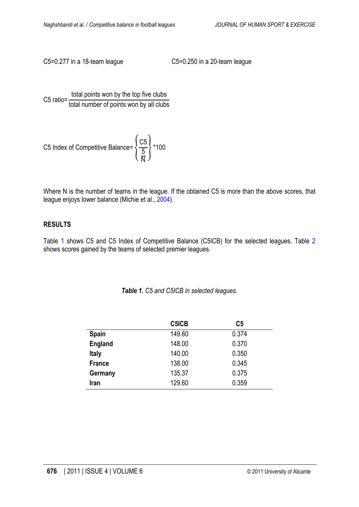C5=0.277 in a 18-team league C5=0.250 in a 20-team league

C5 ratio=  $\frac{\text{total points}}{\text{total number of points}}$ total number of points won by all clubs

C5 Index of Competitive Balance = 
$$
\left\{\frac{C5}{\frac{5}{N}}\right\}
$$
 \*100

Where N is the number of teams in the league. If the obtained C5 is more than the above scores, that league enjoys lower balance (Michie et al., [2004\)](#page-8-0).

#### **RESULTS**

Table 1 shows C5 and C5 Index of Competitive Balance (C5ICB) for the selected leagues. Table 2 shows scores gained by the teams of selected premier leagues.

|  |  |  |  | Table 1. C5 and C5ICB in selected leagues. |
|--|--|--|--|--------------------------------------------|
|--|--|--|--|--------------------------------------------|

|                | C5ICB  | C <sub>5</sub> |
|----------------|--------|----------------|
| <b>Spain</b>   | 149.60 | 0.374          |
| <b>England</b> | 148.00 | 0.370          |
| <b>Italy</b>   | 140.00 | 0.350          |
| <b>France</b>  | 138.00 | 0.345          |
| Germany        | 135.37 | 0.375          |
| Iran           | 129.60 | 0.359          |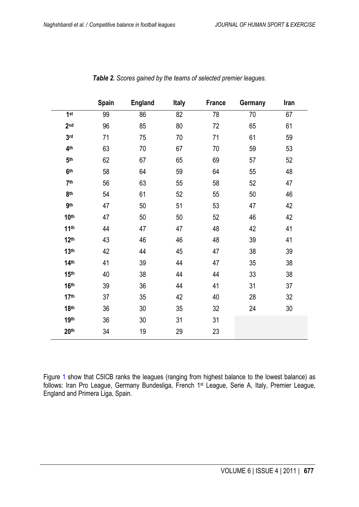|                  | Spain | <b>England</b> | <b>Italy</b> | <b>France</b> | Germany | Iran |
|------------------|-------|----------------|--------------|---------------|---------|------|
| 1st              | 99    | 86             | 82           | 78            | 70      | 67   |
| 2 <sub>nd</sub>  | 96    | 85             | 80           | 72            | 65      | 61   |
| 3 <sub>rd</sub>  | 71    | 75             | 70           | 71            | 61      | 59   |
| 4 <sup>th</sup>  | 63    | 70             | 67           | 70            | 59      | 53   |
| 5 <sup>th</sup>  | 62    | 67             | 65           | 69            | 57      | 52   |
| 6 <sup>th</sup>  | 58    | 64             | 59           | 64            | 55      | 48   |
| 7 <sup>th</sup>  | 56    | 63             | 55           | 58            | 52      | 47   |
| 8th              | 54    | 61             | 52           | 55            | 50      | 46   |
| <b>gth</b>       | 47    | 50             | 51           | 53            | 47      | 42   |
| 10 <sup>th</sup> | 47    | 50             | 50           | 52            | 46      | 42   |
| 11 <sup>th</sup> | 44    | 47             | 47           | 48            | 42      | 41   |
| 12 <sup>th</sup> | 43    | 46             | 46           | 48            | 39      | 41   |
| 13 <sup>th</sup> | 42    | 44             | 45           | 47            | 38      | 39   |
| 14 <sup>th</sup> | 41    | 39             | 44           | 47            | 35      | 38   |
| 15 <sup>th</sup> | 40    | 38             | 44           | 44            | 33      | 38   |
| 16 <sup>th</sup> | 39    | 36             | 44           | 41            | 31      | 37   |
| 17 <sup>th</sup> | 37    | 35             | 42           | 40            | 28      | 32   |
| <b>18th</b>      | 36    | 30             | 35           | 32            | 24      | 30   |
| <b>19th</b>      | 36    | 30             | 31           | 31            |         |      |
| 20 <sup>th</sup> | 34    | 19             | 29           | 23            |         |      |

*Table 2. Scores gained by the teams of selected premier leagues.*

Figure [1](#page-5-0) show that C5ICB ranks the leagues (ranging from highest balance to the lowest balance) as follows: Iran Pro League, Germany Bundesliga, French 1st League, Serie A, Italy, Premier League, England and Primera Liga, Spain.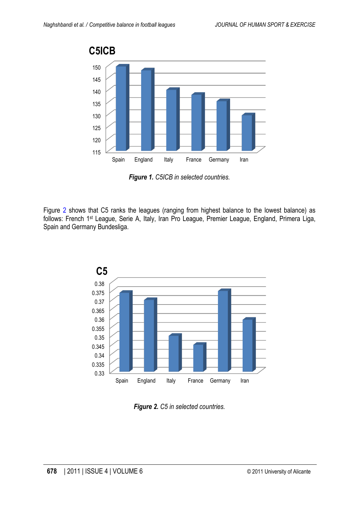<span id="page-5-0"></span>

*Figure 1. C5ICB in selected countries.*

Figure 2 shows that C5 ranks the leagues (ranging from highest balance to the lowest balance) as follows: French 1st League, Serie A, Italy, Iran Pro League, Premier League, England, Primera Liga, Spain and Germany Bundesliga.



*Figure 2. C5 in selected countries.*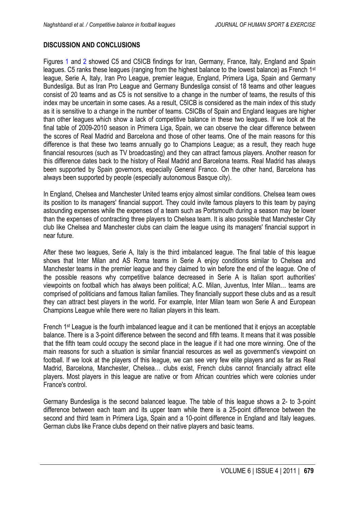### **DISCUSSION AND CONCLUSIONS**

Figures [1](#page-5-0) and [2](#page-5-0) showed C5 and C5ICB findings for Iran, Germany, France, Italy, England and Spain leagues. C5 ranks these leagues (ranging from the highest balance to the lowest balance) as French 1<sup>st</sup> league, Serie A, Italy, Iran Pro League, premier league, England, Primera Liga, Spain and Germany Bundesliga. But as Iran Pro League and Germany Bundesliga consist of 18 teams and other leagues consist of 20 teams and as C5 is not sensitive to a change in the number of teams, the results of this index may be uncertain in some cases. As a result, C5ICB is considered as the main index of this study as it is sensitive to a change in the number of teams. C5ICBs of Spain and England leagues are higher than other leagues which show a lack of competitive balance in these two leagues. If we look at the final table of 2009-2010 season in Primera Liga, Spain, we can observe the clear difference between the scores of Real Madrid and Barcelona and those of other teams. One of the main reasons for this difference is that these two teams annually go to Champions League; as a result, they reach huge financial resources (such as TV broadcasting) and they can attract famous players. Another reason for this difference dates back to the history of Real Madrid and Barcelona teams. Real Madrid has always been supported by Spain governors, especially General Franco. On the other hand, Barcelona has always been supported by people (especially autonomous Basque city).

In England, Chelsea and Manchester United teams enjoy almost similar conditions. Chelsea team owes its position to its managers' financial support. They could invite famous players to this team by paying astounding expenses while the expenses of a team such as Portsmouth during a season may be lower than the expenses of contracting three players to Chelsea team. It is also possible that Manchester City club like Chelsea and Manchester clubs can claim the league using its managers' financial support in near future.

After these two leagues, Serie A, Italy is the third imbalanced league. The final table of this league shows that Inter Milan and AS Roma teams in Serie A enjoy conditions similar to Chelsea and Manchester teams in the premier league and they claimed to win before the end of the league. One of the possible reasons why competitive balance decreased in Serie A is Italian sport authorities' viewpoints on football which has always been political; A.C. Milan, Juventus, Inter Milan… teams are comprised of politicians and famous Italian families. They financially support these clubs and as a result they can attract best players in the world. For example, Inter Milan team won Serie A and European Champions League while there were no Italian players in this team.

French 1st League is the fourth imbalanced league and it can be mentioned that it enjoys an acceptable balance. There is a 3-point difference between the second and fifth teams. It means that it was possible that the fifth team could occupy the second place in the league if it had one more winning. One of the main reasons for such a situation is similar financial resources as well as government's viewpoint on football. If we look at the players of this league, we can see very few elite players and as far as Real Madrid, Barcelona, Manchester, Chelsea… clubs exist, French clubs cannot financially attract elite players. Most players in this league are native or from African countries which were colonies under France's control.

Germany Bundesliga is the second balanced league. The table of this league shows a 2- to 3-point difference between each team and its upper team while there is a 25-point difference between the second and third team in Primera Liga, Spain and a 10-point difference in England and Italy leagues. German clubs like France clubs depend on their native players and basic teams.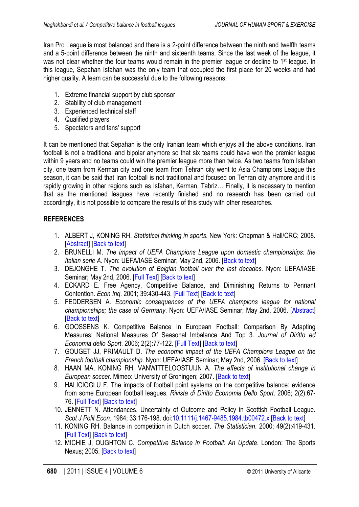<span id="page-7-0"></span>Iran Pro League is most balanced and there is a 2-point difference between the ninth and twelfth teams and a 5-point difference between the ninth and sixteenth teams. Since the last week of the league, it was not clear whether the four teams would remain in the premier league or decline to 1<sup>st</sup> league. In this league, Sepahan Isfahan was the only team that occupied the first place for 20 weeks and had higher quality. A team can be successful due to the following reasons:

- 1. Extreme financial support by club sponsor
- 2. Stability of club management
- 3. Experienced technical staff
- 4. Qualified players
- 5. Spectators and fans' support

It can be mentioned that Sepahan is the only Iranian team which enjoys all the above conditions. Iran football is not a traditional and bipolar anymore so that six teams could have won the premier league within 9 years and no teams could win the premier league more than twice. As two teams from Isfahan city, one team from Kerman city and one team from Tehran city went to Asia Champions League this season, it can be said that Iran football is not traditional and focused on Tehran city anymore and it is rapidly growing in other regions such as Isfahan, Kerman, Tabriz… Finally, it is necessary to mention that as the mentioned leagues have recently finished and no research has been carried out accordingly, it is not possible to compare the results of this study with other researches.

## **REFERENCES**

- 1. ALBERT J, KONING RH. *Statistical thinking in sports*. New York: Chapman & Hall/CRC; 2008. [\[Abstract\]](http://books.google.es/books?id=XPyBAAAAMAAJ&q=Statistical+thinking+in+sports&dq=Statistical+thinking+in+sports&hl=es&ei=GpXkTrvENMHOhAf6jcX-AQ&sa=X&oi=book_result&ct=result&resnum=1&ved=0CC8Q6AEwAA) [[Back to text](#page-1-0)]
- 2. BRUNELLI M. *The impact of UEFA Champions League upon domestic championships: the Italian serie A*. Nyon: UEFA/IASE Seminar; May 2nd, 2006. [[Back to text](#page-2-0)]
- 3. DEJONGHE T. *The evolution of Belgian football over the last decades*. Nyon: UEFA/IASE Seminar; May 2nd, 2006. [\[Full Text\]](http://users.telenet.be/trudo.dejonghe/pdf/theevolutionofbelfootbal2006.pdf) [\[Back to text](#page-2-0)]
- 4. ECKARD E. Free Agency, Competitive Balance, and Diminishing Returns to Pennant Contention. *Econ Inq*. 2001; 39:430-443. [\[Full Text\]](http://www.freepatentsonline.com/article/Economic-Inquiry/77084559.html) [\[Back to text\]](#page-2-0)
- 5. FEDDERSEN A. *Economic consequences of the UEFA champions league for national championships; the case of Germany*. Nyon: UEFA/IASE Seminar; May 2nd, 2006. [\[Abstract\]](http://econpapers.repec.org/paper/hcewpaper/200601.htm) [\[Back to text\]](#page-2-0)
- 6. GOOSSENS K. Competitive Balance In European Football: Comparison By Adapting Measures: National Measures Of Seasonal Imbalance And Top 3. *Journal of Diritto ed Economia dello Sport*. 2006; 2(2):77-122. [\[Full Text\]](http://www.futbolekonomi.com/Raporlar/Ekonomi/competition_balance_in_European_football.pdf) [\[Back to text\]](#page-2-0)
- 7. GOUGET JJ, PRIMAULT D. *The economic impact of the UEFA Champions League on the French football championship*. Nyon: UEFA/IASE Seminar; May 2nd, 2006. [[Back to text](#page-2-0)]
- 8. HAAN MA, KONING RH, VANWITTELOOSTUIJN A. *The effects of institutional change in European soccer*. Mimeo: University of Groningen; 2007. [[Back to text](#page-2-0)]
- 9. HALICIOGLU F. The impacts of football point systems on the competitive balance: evidence from some European football leagues. *Rivista di Diritto Economia Dello Sport*. 2006; 2(2):67- 76. [\[Full Text\]](http://mpra.ub.uni-muenchen.de/10798/1/The_impacts_of_point_sytems_.pdf) [[Back to text](#page-1-0)]
- 10. JENNETT N. Attendances, Uncertainty of Outcome and Policy in Scottish Football League. *Scot J Polit Econ*. 1984; 33:176-198. doi[:10.1111/j.1467-9485.1984.tb00472.x](http://dx.doi.org/10.1111/j.1467-9485.1984.tb00472.x) [\[Back to text\]](#page-1-0)
- 11. KONING RH. Balance in competition in Dutch soccer. *The Statistician*. 2000; 49(2):419-431. [\[Full Text\]](http://www.encore.nl/documents/BalanceincompetitioninDutchsoccer_000.pdf) [\[Back to text\]](#page-1-0)
- 12. MICHIE J, OUGHTON C. *Competitive Balance in Football: An Update*. London: The Sports Nexus; 2005. [\[Back to text\]](#page-1-0)